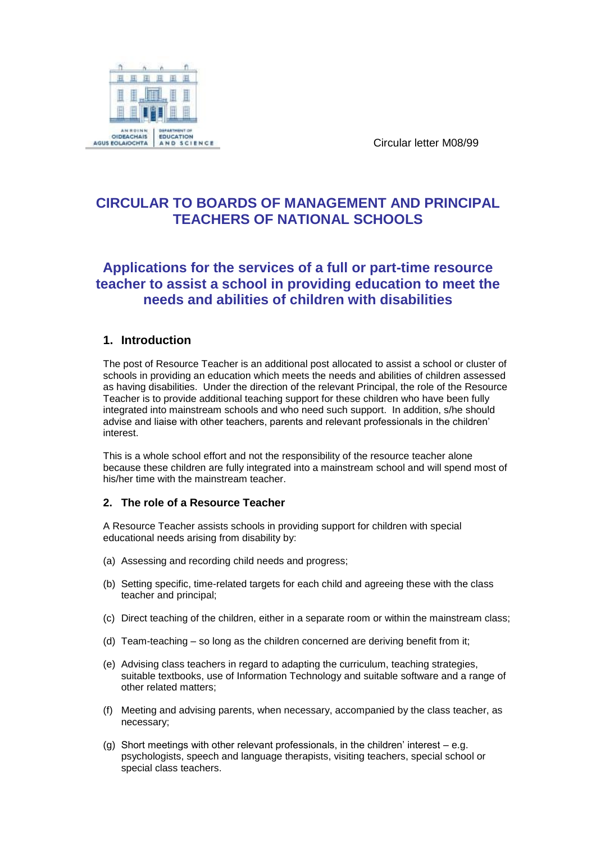

Circular letter M08/99

# **CIRCULAR TO BOARDS OF MANAGEMENT AND PRINCIPAL TEACHERS OF NATIONAL SCHOOLS**

# **Applications for the services of a full or part-time resource teacher to assist a school in providing education to meet the needs and abilities of children with disabilities**

## **1. Introduction**

The post of Resource Teacher is an additional post allocated to assist a school or cluster of schools in providing an education which meets the needs and abilities of children assessed as having disabilities. Under the direction of the relevant Principal, the role of the Resource Teacher is to provide additional teaching support for these children who have been fully integrated into mainstream schools and who need such support. In addition, s/he should advise and liaise with other teachers, parents and relevant professionals in the children' interest.

This is a whole school effort and not the responsibility of the resource teacher alone because these children are fully integrated into a mainstream school and will spend most of his/her time with the mainstream teacher.

## **2. The role of a Resource Teacher**

A Resource Teacher assists schools in providing support for children with special educational needs arising from disability by:

- (a) Assessing and recording child needs and progress;
- (b) Setting specific, time-related targets for each child and agreeing these with the class teacher and principal;
- (c) Direct teaching of the children, either in a separate room or within the mainstream class;
- (d) Team-teaching so long as the children concerned are deriving benefit from it;
- (e) Advising class teachers in regard to adapting the curriculum, teaching strategies, suitable textbooks, use of Information Technology and suitable software and a range of other related matters;
- (f) Meeting and advising parents, when necessary, accompanied by the class teacher, as necessary;
- (g) Short meetings with other relevant professionals, in the children' interest e.g. psychologists, speech and language therapists, visiting teachers, special school or special class teachers.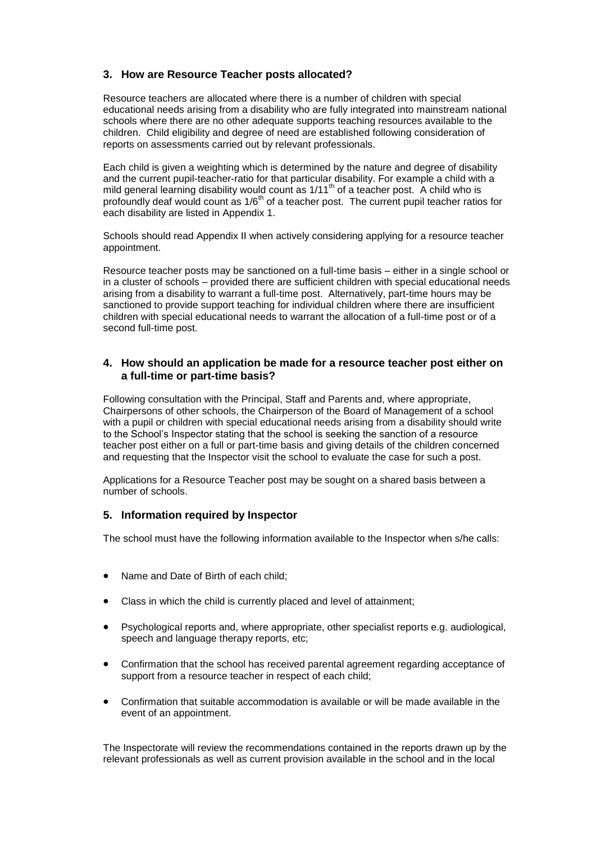## **3. How are Resource Teacher posts allocated?**

Resource teachers are allocated where there is a number of children with special educational needs arising from a disability who are fully integrated into mainstream national schools where there are no other adequate supports teaching resources available to the children. Child eligibility and degree of need are established following consideration of reports on assessments carried out by relevant professionals.

Each child is given a weighting which is determined by the nature and degree of disability and the current pupil-teacher-ratio for that particular disability. For example a child with a mild general learning disability would count as 1/11<sup>th</sup> of a teacher post. A child who is profoundly deaf would count as  $1/6<sup>th</sup>$  of a teacher post. The current pupil teacher ratios for each disability are listed in Appendix 1.

Schools should read Appendix II when actively considering applying for a resource teacher appointment.

Resource teacher posts may be sanctioned on a full-time basis – either in a single school or in a cluster of schools – provided there are sufficient children with special educational needs arising from a disability to warrant a full-time post. Alternatively, part-time hours may be sanctioned to provide support teaching for individual children where there are insufficient children with special educational needs to warrant the allocation of a full-time post or of a second full-time post.

#### **4. How should an application be made for a resource teacher post either on a full-time or part-time basis?**

Following consultation with the Principal, Staff and Parents and, where appropriate, Chairpersons of other schools, the Chairperson of the Board of Management of a school with a pupil or children with special educational needs arising from a disability should write to the School's Inspector stating that the school is seeking the sanction of a resource teacher post either on a full or part-time basis and giving details of the children concerned and requesting that the Inspector visit the school to evaluate the case for such a post.

Applications for a Resource Teacher post may be sought on a shared basis between a number of schools.

#### **5. Information required by Inspector**

The school must have the following information available to the Inspector when s/he calls:

- Name and Date of Birth of each child;
- Class in which the child is currently placed and level of attainment;
- Psychological reports and, where appropriate, other specialist reports e.g. audiological, speech and language therapy reports, etc;
- Confirmation that the school has received parental agreement regarding acceptance of support from a resource teacher in respect of each child;
- Confirmation that suitable accommodation is available or will be made available in the event of an appointment.

The Inspectorate will review the recommendations contained in the reports drawn up by the relevant professionals as well as current provision available in the school and in the local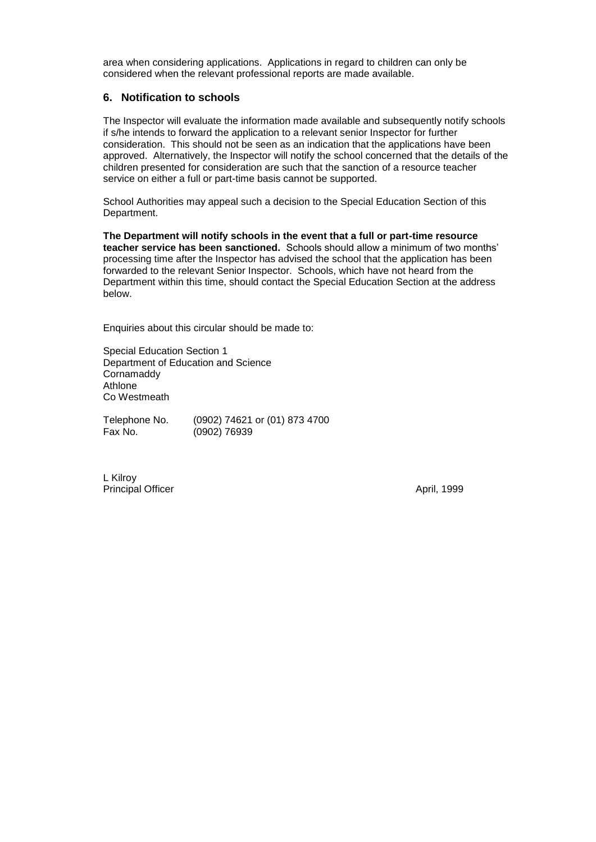area when considering applications. Applications in regard to children can only be considered when the relevant professional reports are made available.

#### **6. Notification to schools**

The Inspector will evaluate the information made available and subsequently notify schools if s/he intends to forward the application to a relevant senior Inspector for further consideration. This should not be seen as an indication that the applications have been approved. Alternatively, the Inspector will notify the school concerned that the details of the children presented for consideration are such that the sanction of a resource teacher service on either a full or part-time basis cannot be supported.

School Authorities may appeal such a decision to the Special Education Section of this Department.

**The Department will notify schools in the event that a full or part-time resource teacher service has been sanctioned.** Schools should allow a minimum of two months' processing time after the Inspector has advised the school that the application has been forwarded to the relevant Senior Inspector. Schools, which have not heard from the Department within this time, should contact the Special Education Section at the address below.

Enquiries about this circular should be made to:

Special Education Section 1 Department of Education and Science **Cornamaddy** Athlone Co Westmeath

Telephone No. (0902) 74621 or (01) 873 4700<br>Fax No. (0902) 76939  $(0902)$  76939

L Kilroy Principal Officer **April, 1999**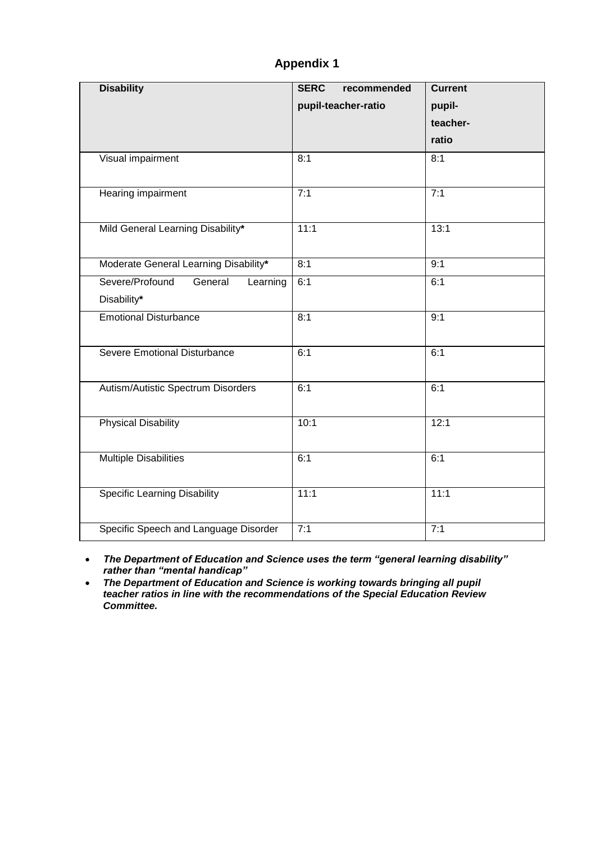## **Appendix 1**

| <b>Disability</b>                                     | <b>SERC</b><br>recommended<br>pupil-teacher-ratio | <b>Current</b><br>pupil-<br>teacher-<br>ratio |
|-------------------------------------------------------|---------------------------------------------------|-----------------------------------------------|
| Visual impairment                                     | 8:1                                               | 8:1                                           |
| Hearing impairment                                    | 7:1                                               | 7:1                                           |
| Mild General Learning Disability*                     | 11:1                                              | 13:1                                          |
| Moderate General Learning Disability*                 | 8:1                                               | 9:1                                           |
| Severe/Profound<br>General<br>Learning<br>Disability* | 6:1                                               | 6:1                                           |
| <b>Emotional Disturbance</b>                          | 8:1                                               | 9:1                                           |
| <b>Severe Emotional Disturbance</b>                   | 6:1                                               | 6:1                                           |
| Autism/Autistic Spectrum Disorders                    | 6:1                                               | 6:1                                           |
| <b>Physical Disability</b>                            | 10:1                                              | 12:1                                          |
| <b>Multiple Disabilities</b>                          | 6:1                                               | 6:1                                           |
| <b>Specific Learning Disability</b>                   | 11:1                                              | 11:1                                          |
| Specific Speech and Language Disorder                 | 7:1                                               | 7:1                                           |

 *The Department of Education and Science uses the term "general learning disability" rather than "mental handicap"*

**• The Department of Education and Science is working towards bringing all pupil** *teacher ratios in line with the recommendations of the Special Education Review Committee.*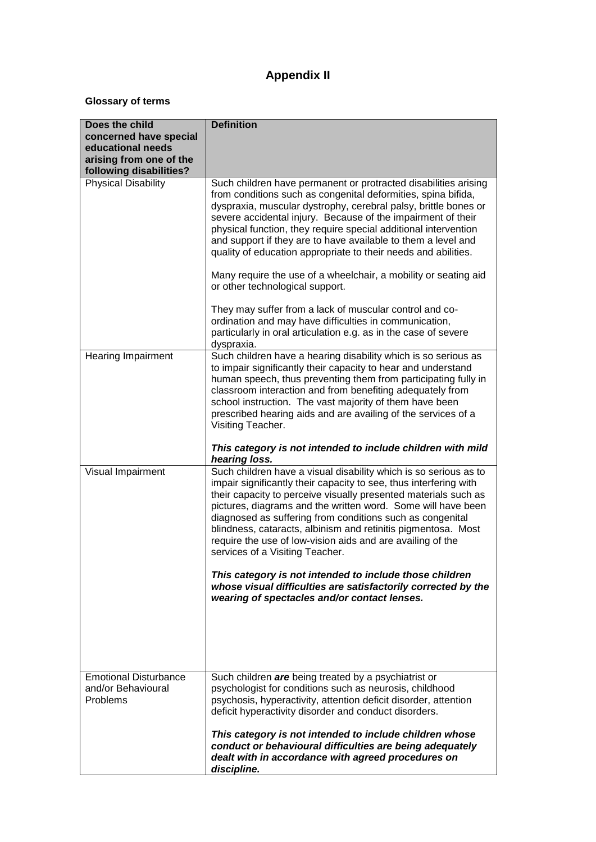# **Appendix II**

## **Glossary of terms**

| Does the child<br>concerned have special<br>educational needs<br>arising from one of the<br>following disabilities? | <b>Definition</b>                                                                                                                                                                                                                                                                                                                                                                                                                                                                                                                                                                                                                                                                                                                                                                     |
|---------------------------------------------------------------------------------------------------------------------|---------------------------------------------------------------------------------------------------------------------------------------------------------------------------------------------------------------------------------------------------------------------------------------------------------------------------------------------------------------------------------------------------------------------------------------------------------------------------------------------------------------------------------------------------------------------------------------------------------------------------------------------------------------------------------------------------------------------------------------------------------------------------------------|
| <b>Physical Disability</b>                                                                                          | Such children have permanent or protracted disabilities arising<br>from conditions such as congenital deformities, spina bifida,<br>dyspraxia, muscular dystrophy, cerebral palsy, brittle bones or<br>severe accidental injury. Because of the impairment of their<br>physical function, they require special additional intervention<br>and support if they are to have available to them a level and<br>quality of education appropriate to their needs and abilities.<br>Many require the use of a wheelchair, a mobility or seating aid<br>or other technological support.<br>They may suffer from a lack of muscular control and co-<br>ordination and may have difficulties in communication,<br>particularly in oral articulation e.g. as in the case of severe<br>dyspraxia. |
| <b>Hearing Impairment</b>                                                                                           | Such children have a hearing disability which is so serious as<br>to impair significantly their capacity to hear and understand<br>human speech, thus preventing them from participating fully in<br>classroom interaction and from benefiting adequately from<br>school instruction. The vast majority of them have been<br>prescribed hearing aids and are availing of the services of a<br>Visiting Teacher.<br>This category is not intended to include children with mild<br>hearing loss.                                                                                                                                                                                                                                                                                       |
| Visual Impairment                                                                                                   | Such children have a visual disability which is so serious as to<br>impair significantly their capacity to see, thus interfering with<br>their capacity to perceive visually presented materials such as<br>pictures, diagrams and the written word. Some will have been<br>diagnosed as suffering from conditions such as congenital<br>blindness, cataracts, albinism and retinitis pigmentosa. Most<br>require the use of low-vision aids and are availing of the<br>services of a Visiting Teacher.<br>This category is not intended to include those children<br>whose visual difficulties are satisfactorily corrected by the<br>wearing of spectacles and/or contact lenses.                                                                                                   |
| <b>Emotional Disturbance</b><br>and/or Behavioural<br>Problems                                                      | Such children are being treated by a psychiatrist or<br>psychologist for conditions such as neurosis, childhood<br>psychosis, hyperactivity, attention deficit disorder, attention<br>deficit hyperactivity disorder and conduct disorders.<br>This category is not intended to include children whose<br>conduct or behavioural difficulties are being adequately<br>dealt with in accordance with agreed procedures on<br>discipline.                                                                                                                                                                                                                                                                                                                                               |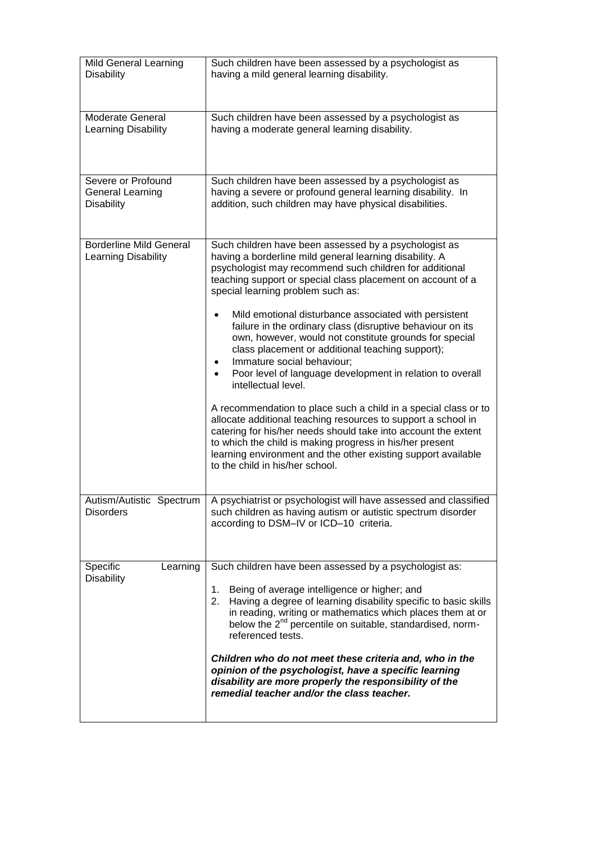| <b>Mild General Learning</b><br><b>Disability</b>           | Such children have been assessed by a psychologist as<br>having a mild general learning disability.                                                                                                                                                                                                                                                                |
|-------------------------------------------------------------|--------------------------------------------------------------------------------------------------------------------------------------------------------------------------------------------------------------------------------------------------------------------------------------------------------------------------------------------------------------------|
| Moderate General<br>Learning Disability                     | Such children have been assessed by a psychologist as<br>having a moderate general learning disability.                                                                                                                                                                                                                                                            |
| Severe or Profound<br>General Learning<br><b>Disability</b> | Such children have been assessed by a psychologist as<br>having a severe or profound general learning disability. In<br>addition, such children may have physical disabilities.                                                                                                                                                                                    |
| <b>Borderline Mild General</b><br>Learning Disability       | Such children have been assessed by a psychologist as<br>having a borderline mild general learning disability. A<br>psychologist may recommend such children for additional<br>teaching support or special class placement on account of a<br>special learning problem such as:                                                                                    |
|                                                             | Mild emotional disturbance associated with persistent<br>failure in the ordinary class (disruptive behaviour on its<br>own, however, would not constitute grounds for special<br>class placement or additional teaching support);<br>Immature social behaviour;<br>Poor level of language development in relation to overall<br>intellectual level.                |
|                                                             | A recommendation to place such a child in a special class or to<br>allocate additional teaching resources to support a school in<br>catering for his/her needs should take into account the extent<br>to which the child is making progress in his/her present<br>learning environment and the other existing support available<br>to the child in his/her school. |
| Autism/Autistic Spectrum<br><b>Disorders</b>                | A psychiatrist or psychologist will have assessed and classified<br>such children as having autism or autistic spectrum disorder<br>according to DSM-IV or ICD-10 criteria.                                                                                                                                                                                        |
| Specific<br>Learning<br><b>Disability</b>                   | Such children have been assessed by a psychologist as:<br>1. Being of average intelligence or higher; and<br>2. Having a degree of learning disability specific to basic skills<br>in reading, writing or mathematics which places them at or<br>below the 2 <sup>nd</sup> percentile on suitable, standardised, norm-<br>referenced tests.                        |
|                                                             | Children who do not meet these criteria and, who in the<br>opinion of the psychologist, have a specific learning<br>disability are more properly the responsibility of the<br>remedial teacher and/or the class teacher.                                                                                                                                           |